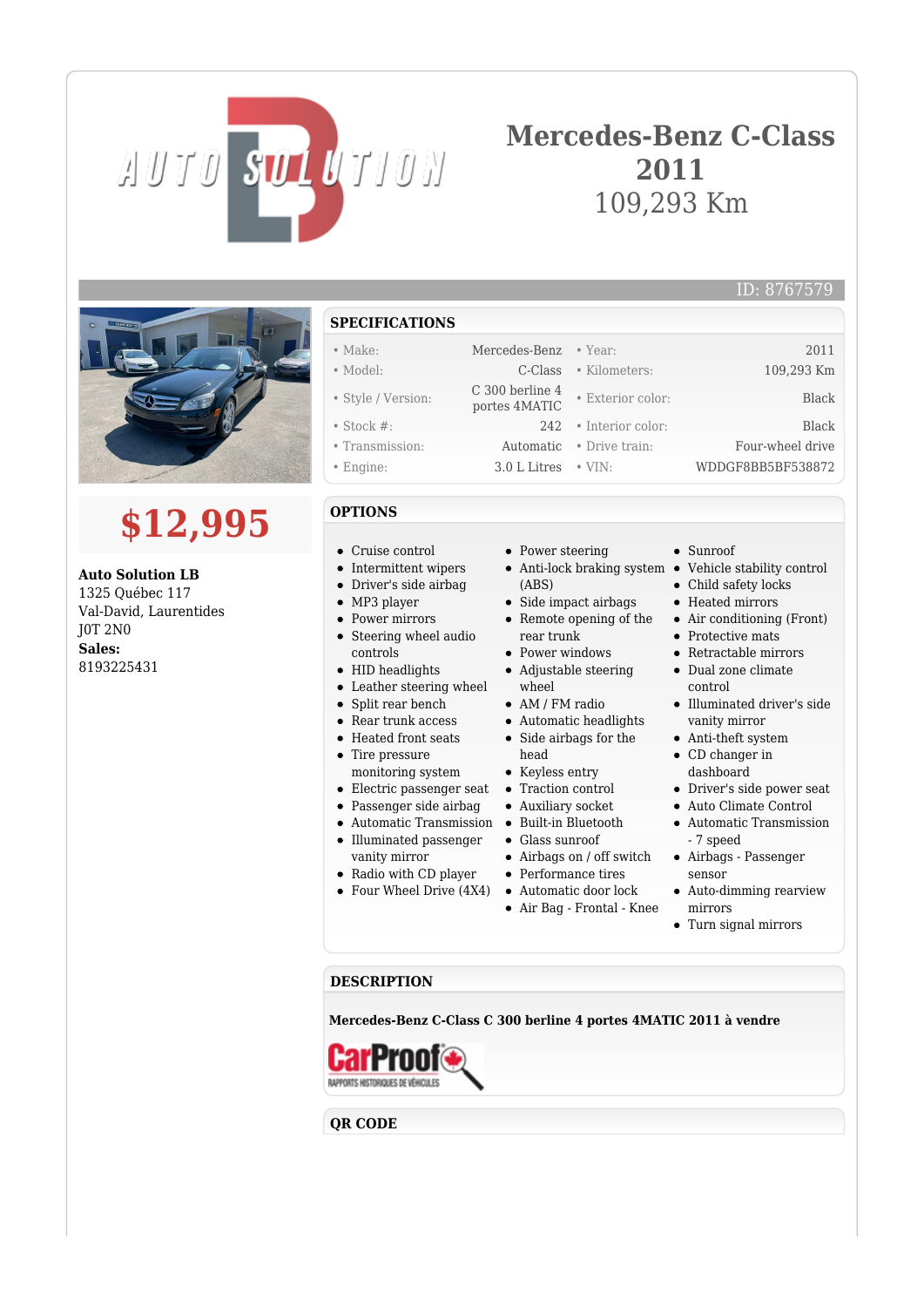# AUTO SOLUTION

## **Mercedes-Benz C-Class 2011** 109,293 Km



## **\$12,995**

**Auto Solution LB** 1325 Québec 117 Val-David, Laurentides J0T 2N0 **Sales:** 8193225431

- **SPECIFICATIONS**
- Make: Mercedes-Benz Year: 2011
- Model: C-Class Kilometers: 109,293 Km
- Style / Version: C 300 berline 4
- Stock #: 242 Interior color: Black
- Transmission: Automatic Drive train: Four-wheel drive • Engine: 3.0 L Litres • VIN: WDDGF8BB5BF538872
- 

### **OPTIONS**

- Cruise control
- Intermittent wipers
- Driver's side airbag
- MP3 player
- Power mirrors
- Steering wheel audio controls
- HID headlights
- Leather steering wheel
- Split rear bench
- Rear trunk access
- Heated front seats
- Tire pressure
- monitoring system
- 
- Passenger side airbag
- 
- Illuminated passenger vanity mirror
- Radio with CD player
- Four Wheel Drive (4X4) Automatic door lock
- Power steering
- Anti-lock braking system Vehicle stability control (ABS)
- Side impact airbags
- Remote opening of the rear trunk
- Power windows
- Adjustable steering wheel
- AM / FM radio
- Automatic headlights • Side airbags for the
- head
- Keyless entry
- Electric passenger seat Traction control
	- Auxiliary socket
- Automatic Transmission Built-in Bluetooth
	- Glass sunroof
	- Airbags on / off switch
	- Performance tires
	-
	- Air Bag Frontal Knee
- Sunroof
	-

ID: 8767579

- Child safety locks
- Heated mirrors
- Air conditioning (Front)
- Protective mats
- Retractable mirrors
- Dual zone climate control
- Illuminated driver's side vanity mirror
- Anti-theft system CD changer in
- dashboard
- Driver's side power seat
- Auto Climate Control
- Automatic Transmission - 7 speed
- Airbags Passenger sensor
- Auto-dimming rearview mirrors
- Turn signal mirrors

#### **DESCRIPTION**

**Mercedes-Benz C-Class C 300 berline 4 portes 4MATIC 2011 à vendre**



**QR CODE**



portes 4MATIC • Exterior color: Black